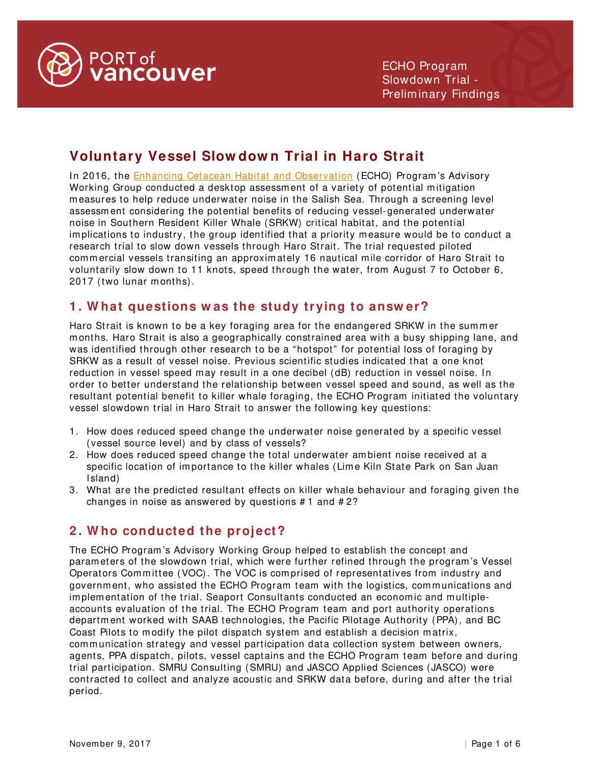

# **Voluntary Vessel Slow dow n Trial in Haro Strait**

In 2016, the [Enhancing Cetacean Habitat and Observation](http://www.portvancouver.com/environment/water-land-wildlife/marine-mammals/) (ECHO) Program's Advisory Working Group conducted a desktop assessm ent of a variety of potential mitigation m easures to help reduce underwater noise in the Salish Sea. Through a screening level assessm ent considering the potential benefits of reducing vessel-generated underwater noise in Southern Resident Killer Whale (SRKW) critical habitat, and the potential implications to industry, the group identified that a priority m easure would be to conduct a research trial to slow down vessels through Haro Strait. The trial requested piloted comm ercial vessels transiting an approximately 16 nautical mile corridor of Haro Strait to voluntarily slow down to 11 knots, speed through the water, from August 7 to October 6, 2017 (two lunar months).

# **1 . W hat questions w as the study trying to answ er?**

Haro Strait is known to be a key foraging area for the endangered SRKW in the summer months. Haro Strait is also a geographically constrained area with a busy shipping lane, and was identified through other research to be a "hotspot" for potential loss of foraging by SRKW as a result of vessel noise. Previous scientific studies indicated that a one knot reduction in vessel speed m ay result in a one decibel (dB) reduction in vessel noise. In order to better understand the relationship between vessel speed and sound, as well as the resultant potential benefit to killer whale foraging, the ECHO Program initiated the voluntary vessel slowdown trial in Haro Strait to answer the following key questions:

- 1. How does reduced speed change the underwater noise generated by a specific vessel (vessel source level) and by class of vessels?
- 2. How does reduced speed change the total underwater ambient noise received at a specific location of importance to the killer whales (Lime Kiln State Park on San Juan Island)
- 3. What are the predicted resultant effects on killer whale behaviour and foraging given the changes in noise as answered by questions # 1 and # 2?

# **2 . W ho conducted the project?**

The ECHO Program 's Advisory Working Group helped to establish the concept and param eters of the slowdown trial, which were further refined through the program 's Vessel Operators Committee (VOC). The VOC is comprised of representatives from industry and governm ent, who assisted the ECHO Program team with the logistics, communications and im plem entation of the trial. Seaport Consultants conducted an economic and multipleaccounts evaluation of the trial. The ECHO Program team and port authority operations departm ent worked with SAAB technologies, the Pacific Pilotage Authority (PPA), and BC Coast Pilots to m odify the pilot dispatch system and establish a decision matrix, communication strategy and vessel participation data collection system between owners, agents, PPA dispatch, pilots, vessel captains and the ECHO Program team before and during trial participation. SMRU Consulting (SMRU) and JASCO Applied Sciences (JASCO) were contracted to collect and analyze acoustic and SRKW data before, during and after the trial period.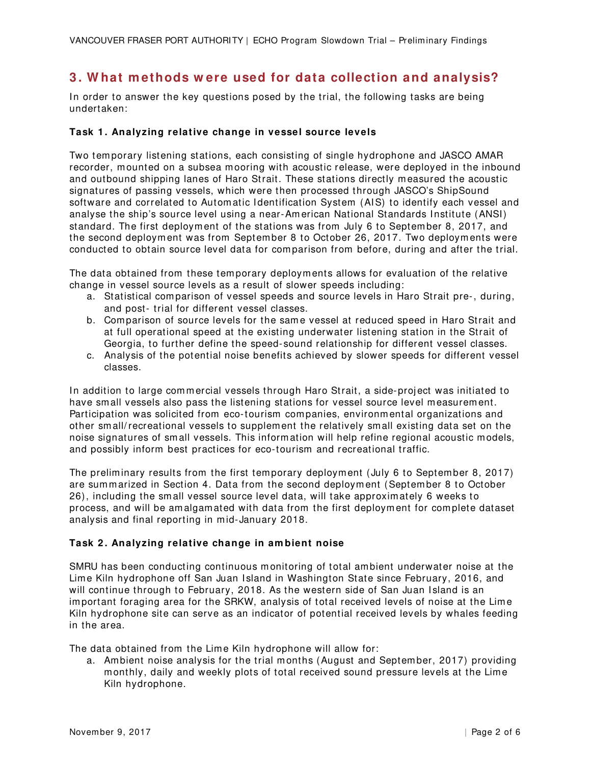# **3 . W hat m ethods w ere used for data collection and analysis?**

In order to answer the key questions posed by the trial, the following tasks are being undertaken:

### **Task 1 . Analyzing relative change in vessel source levels**

Two tem porary listening stations, each consisting of single hydrophone and JASCO AMAR recorder, mounted on a subsea m ooring with acoustic release, were deployed in the inbound and outbound shipping lanes of Haro Strait. These stations directly m easured the acoustic signatures of passing vessels, which were then processed through JASCO's ShipSound software and correlated to Automatic Identification System (AIS) to identify each vessel and analyse the ship's source level using a near-Am erican National Standards Institute (ANSI) standard. The first deploym ent of the stations was from July 6 to Septem ber 8, 2017, and the second deploym ent was from Septem ber 8 to October 26, 2017. Two deploym ents were conducted to obtain source level data for com parison from before, during and after the trial.

The data obtained from these temporary deployments allows for evaluation of the relative change in vessel source levels as a result of slower speeds including:

- a. Statistical com parison of vessel speeds and source levels in Haro Strait pre-, during, and post- trial for different vessel classes.
- b. Comparison of source levels for the same vessel at reduced speed in Haro Strait and at full operational speed at the existing underwater listening station in the Strait of Georgia, to further define the speed- sound relationship for different vessel classes.
- c. Analysis of the potential noise benefits achieved by slower speeds for different vessel classes.

In addition to large com mercial vessels through Haro Strait, a side-project was initiated to have small vessels also pass the listening stations for vessel source level measurement. Participation was solicited from eco-tourism companies, environmental organizations and other sm all/ recreational vessels to supplem ent the relatively small existing data set on the noise signatures of sm all vessels. This information will help refine regional acoustic models, and possibly inform best practices for eco-tourism and recreational traffic.

The preliminary results from the first temporary deployment (July 6 to September 8, 2017) are sum m arized in Section 4. Data from the second deploym ent (September 8 to October 26), including the small vessel source level data, will take approxim ately 6 weeks to process, and will be am algam ated with data from the first deploym ent for complete dataset analysis and final reporting in mid-January 2018.

### **Task 2 . Analyzing relative change in am bient noise**

SMRU has been conducting continuous monitoring of total ambient underwater noise at the Lime Kiln hydrophone off San Juan Island in Washington State since February, 2016, and will continue through to February, 2018. As the western side of San Juan Island is an important foraging area for the SRKW, analysis of total received levels of noise at the Lime Kiln hydrophone site can serve as an indicator of potential received levels by whales feeding in the area.

The data obtained from the Lime Kiln hydrophone will allow for:

a. Am bient noise analysis for the trial months (August and September, 2017) providing monthly, daily and weekly plots of total received sound pressure levels at the Lim e Kiln hydrophone.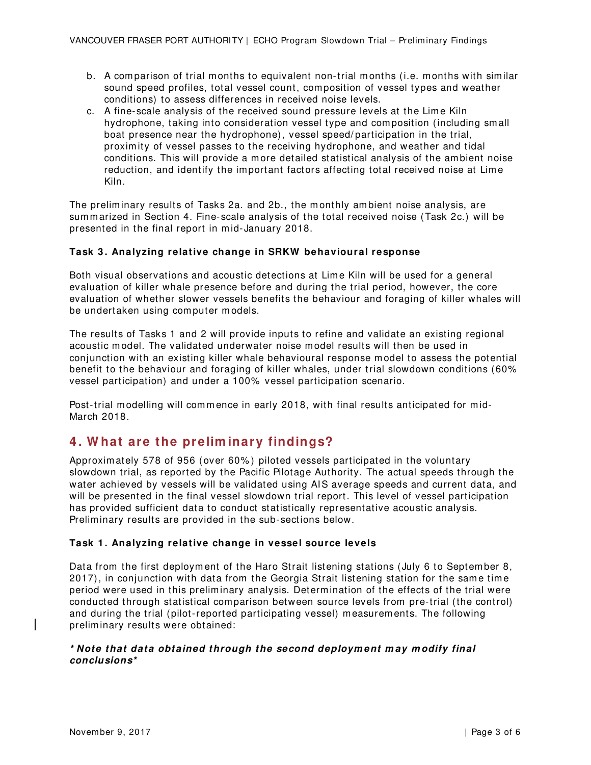- b. A com parison of trial months to equivalent non-trial months (i.e. months with similar sound speed profiles, total vessel count, composition of vessel types and weather conditions) to assess differences in received noise levels.
- c. A fine-scale analysis of the received sound pressure levels at the Lime Kiln hydrophone, taking into consideration vessel type and composition (including sm all boat presence near the hydrophone), vessel speed/ participation in the trial, proximity of vessel passes to the receiving hydrophone, and weather and tidal conditions. This will provide a m ore detailed statistical analysis of the ambient noise reduction, and identify the important factors affecting total received noise at Lim e Kiln.

The preliminary results of Tasks 2a. and 2b., the m onthly ambient noise analysis, are summarized in Section 4. Fine-scale analysis of the total received noise (Task 2c.) will be presented in the final report in mid- January 2018.

### **Task 3 . Analyzing relative change in SRKW behavioural response**

Both visual observations and acoustic detections at Lime Kiln will be used for a general evaluation of killer whale presence before and during the trial period, however, the core evaluation of whether slower vessels benefits the behaviour and foraging of killer whales will be undertaken using com puter m odels.

The results of Tasks 1 and 2 will provide inputs to refine and validate an existing regional acoustic m odel. The validated underwater noise m odel results will then be used in conjunction with an existing killer whale behavioural response m odel to assess the potential benefit to the behaviour and foraging of killer whales, under trial slowdown conditions (60% vessel participation) and under a 100% vessel participation scenario.

Post-trial modelling will commence in early 2018, with final results anticipated for mid-March 2018.

### **4 . W hat are the prelim inary findings?**

Approxim ately 578 of 956 (over 60% ) piloted vessels participated in the voluntary slowdown trial, as reported by the Pacific Pilotage Authority. The actual speeds through the water achieved by vessels will be validated using AIS average speeds and current data, and will be presented in the final vessel slowdown trial report. This level of vessel participation has provided sufficient data to conduct statistically representative acoustic analysis. Preliminary results are provided in the sub- sections below.

### **Task 1 . Analyzing relative change in vessel source levels**

Data from the first deployment of the Haro Strait listening stations (July 6 to September 8, 2017), in conjunction with data from the Georgia Strait listening station for the same time period were used in this preliminary analysis. Determ ination of the effects of the trial were conducted through statistical comparison between source levels from pre-trial (the control) and during the trial (pilot-reported participating vessel) m easurem ents. The following preliminary results were obtained:

### **\* Note that data obtained through the second deploym ent m ay m odify final conclusions\***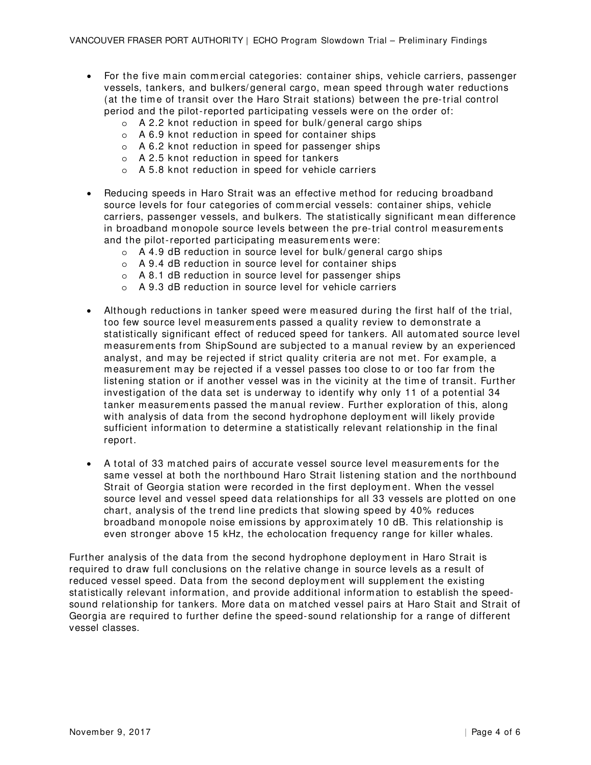- For the five main commercial categories: container ships, vehicle carriers, passenger vessels, tankers, and bulkers/ general cargo, mean speed through water reductions (at the time of transit over the Haro Strait stations) between the pre-trial control period and the pilot-reported participating vessels were on the order of:
	- o A 2.2 knot reduction in speed for bulk/ general cargo ships
	- o A 6.9 knot reduction in speed for container ships
	- o A 6.2 knot reduction in speed for passenger ships
	- o A 2.5 knot reduction in speed for tankers
	- o A 5.8 knot reduction in speed for vehicle carriers
- Reducing speeds in Haro Strait was an effective method for reducing broadband source levels for four categories of com m ercial vessels: container ships, vehicle carriers, passenger vessels, and bulkers. The statistically significant m ean difference in broadband monopole source levels between the pre-trial control measurements and the pilot-reported participating measurements were:
	- o A 4.9 dB reduction in source level for bulk/ general cargo ships
	- o A 9.4 dB reduction in source level for container ships
	- o A 8.1 dB reduction in source level for passenger ships
	- o A 9.3 dB reduction in source level for vehicle carriers
- Although reductions in tanker speed were measured during the first half of the trial, too few source level measurements passed a quality review to demonstrate a statistically significant effect of reduced speed for tankers. All autom ated source level measurem ents from ShipSound are subjected to a m anual review by an experienced analyst, and m ay be rejected if strict quality criteria are not m et. For exam ple, a m easurem ent m ay be rejected if a vessel passes too close to or too far from the listening station or if another vessel was in the vicinity at the time of transit. Further investigation of the data set is underway to identify why only 11 of a potential 34 tanker measurements passed the manual review. Further exploration of this, along with analysis of data from the second hydrophone deploym ent will likely provide sufficient inform ation to determ ine a statistically relevant relationship in the final report.
- A total of 33 matched pairs of accurate vessel source level measurements for the same vessel at both the northbound Haro Strait listening station and the northbound Strait of Georgia station were recorded in the first deploym ent. When the vessel source level and vessel speed data relationships for all 33 vessels are plotted on one chart, analysis of the trend line predicts that slowing speed by 40% reduces broadband m onopole noise emissions by approximately 10 dB. This relationship is even stronger above 15 kHz, the echolocation frequency range for killer whales.

Further analysis of the data from the second hydrophone deployment in Haro Strait is required to draw full conclusions on the relative change in source levels as a result of reduced vessel speed. Data from the second deployment will supplement the existing statistically relevant information, and provide additional inform ation to establish the speedsound relationship for tankers. More data on m atched vessel pairs at Haro Stait and Strait of Georgia are required to further define the speed- sound relationship for a range of different vessel classes.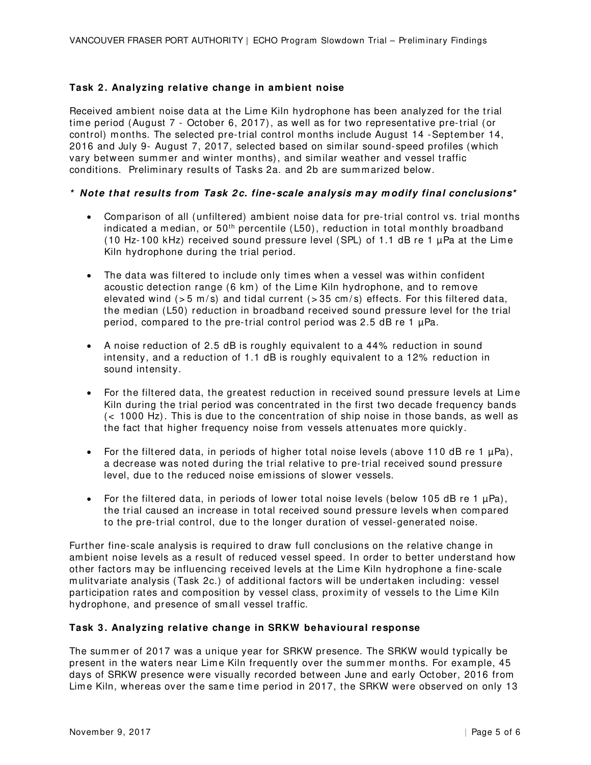### **Task 2 . Analyzing relative change in am bient noise**

Received ambient noise data at the Lime Kiln hydrophone has been analyzed for the trial tim e period (August 7 - October 6, 2017), as well as for two representative pre-trial (or control) m onths. The selected pre-trial control months include August 14 -Septem ber 14, 2016 and July 9- August 7, 2017, selected based on sim ilar sound- speed profiles (which vary between summer and winter months), and similar weather and vessel traffic conditions. Preliminary results of Tasks 2a. and 2b are summarized below.

### **\* Note that results from Task 2 c. fine- scale analysis m ay m odify final conclusions\***

- Comparison of all (unfiltered) ambient noise data for pre-trial control vs. trial months indicated a median, or  $50<sup>th</sup>$  percentile (L50), reduction in total monthly broadband  $(10$  Hz-100 kHz) received sound pressure level (SPL) of 1.1 dB re 1  $\mu$ Pa at the Lime Kiln hydrophone during the trial period.
- The data was filtered to include only times when a vessel was within confident acoustic detection range (6 km) of the Lime Kiln hydrophone, and to remove elevated wind ( $> 5$  m/s) and tidal current ( $> 35$  cm/s) effects. For this filtered data, the m edian (L50) reduction in broadband received sound pressure level for the trial period, compared to the pre-trial control period was 2.5 dB re 1  $\mu$ Pa.
- A noise reduction of 2.5 dB is roughly equivalent to a 44% reduction in sound intensity, and a reduction of 1.1 dB is roughly equivalent to a 12% reduction in sound intensity.
- For the filtered data, the greatest reduction in received sound pressure levels at Lime Kiln during the trial period was concentrated in the first two decade frequency bands (< 1000 Hz). This is due to the concentration of ship noise in those bands, as well as the fact that higher frequency noise from vessels attenuates m ore quickly.
- For the filtered data, in periods of higher total noise levels (above 110 dB re 1  $\mu$ Pa), a decrease was noted during the trial relative to pre-trial received sound pressure level, due to the reduced noise em issions of slower vessels.
- For the filtered data, in periods of lower total noise levels (below 105 dB re 1  $\mu$ Pa), the trial caused an increase in total received sound pressure levels when com pared to the pre-trial control, due to the longer duration of vessel-generated noise.

Further fine- scale analysis is required to draw full conclusions on the relative change in am bient noise levels as a result of reduced vessel speed. In order to better understand how other factors may be influencing received levels at the Lime Kiln hydrophone a fine-scale m ulitvariate analysis (Task 2c.) of additional factors will be undertaken including: vessel participation rates and composition by vessel class, proximity of vessels to the Lime Kiln hydrophone, and presence of sm all vessel traffic.

### **Task 3 . Analyzing relative change in SRKW behavioural response**

The summer of 2017 was a unique year for SRKW presence. The SRKW would typically be present in the waters near Lime Kiln frequently over the summer months. For example, 45 days of SRKW presence were visually recorded between June and early October, 2016 from Lime Kiln, whereas over the same time period in 2017, the SRKW were observed on only 13